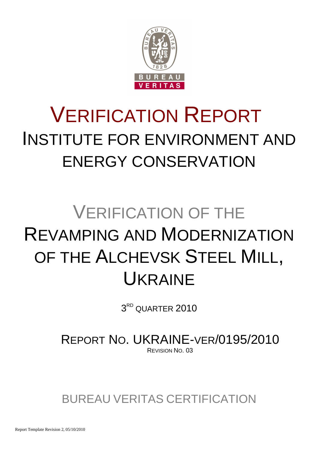

# VERIFICATION REPORT INSTITUTE FOR ENVIRONMENT AND ENERGY CONSERVATION

# VERIFICATION OF THE REVAMPING AND MODERNIZATION OF THE ALCHEVSK STEEL MILL, UKRAINE

 $3^{\text{\tiny RD}}$  QUARTER  $2010$ 

REPORT NO. UKRAINE-VER/0195/2010 REVISION NO. 03

BUREAU VERITAS CERTIFICATION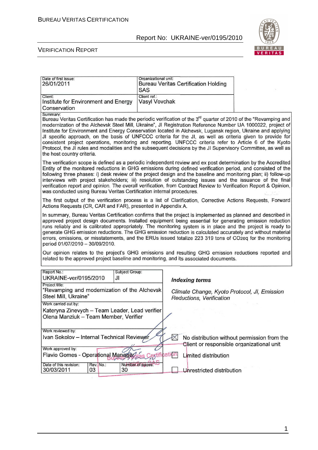

| Date of first issue:<br>26/01/2011                                                                                                                                                                                                                                                                                                                                                                                                                                                                                                                                                                                                                                                                                                               | Organizational unit:<br>SAS   | <b>Bureau Veritas Certification Holding</b>                                                       |                                                                                          |  |
|--------------------------------------------------------------------------------------------------------------------------------------------------------------------------------------------------------------------------------------------------------------------------------------------------------------------------------------------------------------------------------------------------------------------------------------------------------------------------------------------------------------------------------------------------------------------------------------------------------------------------------------------------------------------------------------------------------------------------------------------------|-------------------------------|---------------------------------------------------------------------------------------------------|------------------------------------------------------------------------------------------|--|
| Client:<br>Institute for Environment and Energy<br>Conservation                                                                                                                                                                                                                                                                                                                                                                                                                                                                                                                                                                                                                                                                                  | Client ref.:<br>Vasyl Vovchak |                                                                                                   |                                                                                          |  |
| Summary:<br>Bureau Veritas Certification has made the periodic verification of the 3 <sup>rd</sup> quarter of 2010 of the "Revamping and<br>modernization of the Alchevsk Steel Mill, Ukraine", JI Registration Reference Number UA 1000022, project of<br>Institute for Environment and Energy Conservation located in Alchevsk, Lugansk region, Ukraine and applying<br>JI specific approach, on the basis of UNFCCC criteria for the JI, as well as criteria given to provide for<br>consistent project operations, monitoring and reporting. UNFCCC criteria refer to Article 6 of the Kyoto<br>Protocol, the JI rules and modalities and the subsequent decisions by the JI Supervisory Committee, as well as<br>the host country criteria. |                               |                                                                                                   |                                                                                          |  |
| The verification scope is defined as a periodic independent review and ex post determination by the Accredited<br>Entity of the monitored reductions in GHG emissions during defined verification period, and consisted of the<br>following three phases: i) desk review of the project design and the baseline and monitoring plan; ii) follow-up<br>interviews with project stakeholders; iii) resolution of outstanding issues and the issuance of the final<br>verification report and opinion. The overall verification, from Contract Review to Verification Report & Opinion,<br>was conducted using Bureau Veritas Certification internal procedures.                                                                                    |                               |                                                                                                   |                                                                                          |  |
| The first output of the verification process is a list of Clarification, Corrective Actions Requests, Forward<br>Actions Requests (CR, CAR and FAR), presented in Appendix A.                                                                                                                                                                                                                                                                                                                                                                                                                                                                                                                                                                    |                               |                                                                                                   |                                                                                          |  |
| In summary, Bureau Veritas Certification confirms that the project is implemented as planned and described in<br>approved project design documents. Installed equipment being essential for generating emission reduction<br>runs reliably and is calibrated appropriately. The monitoring system is in place and the project is ready to<br>generate GHG emission reductions. The GHG emission reduction is calculated accurately and without material<br>errors, omissions, or misstatements, and the ERUs issued totalize 223 319 tons of CO2eq for the monitoring<br>period 01/07/2010 - 30/09/2010.                                                                                                                                         |                               |                                                                                                   |                                                                                          |  |
| Our opinion relates to the project's GHG emissions and resulting GHG emission reductions reported and<br>related to the approved project baseline and monitoring, and its associated documents.                                                                                                                                                                                                                                                                                                                                                                                                                                                                                                                                                  |                               |                                                                                                   |                                                                                          |  |
| Report No.:<br>Subject Group:<br>UKRAINE-ver/0195/2010<br>JI                                                                                                                                                                                                                                                                                                                                                                                                                                                                                                                                                                                                                                                                                     |                               |                                                                                                   |                                                                                          |  |
| Project title:<br>"Revamping and modernization of the Alchevsk<br>Steel Mill, Ukraine"                                                                                                                                                                                                                                                                                                                                                                                                                                                                                                                                                                                                                                                           |                               | <b>Indexing terms</b><br>Climate Change, Kyoto Protocol, JI, Emission<br>Reductions, Verification |                                                                                          |  |
| Work carried out by:<br>Kateryna Zinevych - Team Leader, Lead verifier<br>Olena Manziuk - Team Member, Verifier                                                                                                                                                                                                                                                                                                                                                                                                                                                                                                                                                                                                                                  |                               |                                                                                                   |                                                                                          |  |
| Work reviewed by:<br>Ivan Sokolov - Internal Technical Reviewer<br>Work approved by:                                                                                                                                                                                                                                                                                                                                                                                                                                                                                                                                                                                                                                                             |                               |                                                                                                   | No distribution without permission from the<br>Client or responsible organizational unit |  |
| Flavio Gomes - Operational Manager                                                                                                                                                                                                                                                                                                                                                                                                                                                                                                                                                                                                                                                                                                               | Cestification                 | Limited distribution                                                                              |                                                                                          |  |
| Date of this revision:<br>Rev. No.:<br>30/03/2011<br>03<br>30                                                                                                                                                                                                                                                                                                                                                                                                                                                                                                                                                                                                                                                                                    | Number of pages:              | Unrestricted distribution                                                                         |                                                                                          |  |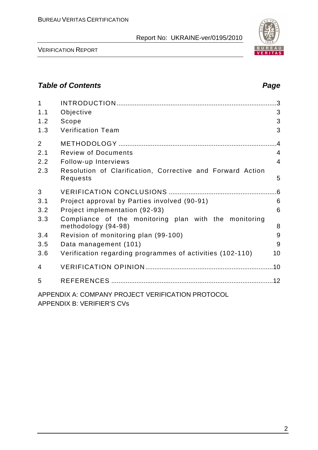

VERIFICATION REPORT

## **Table of Contents Page 2014**

| 1              |                                                                              | .3              |
|----------------|------------------------------------------------------------------------------|-----------------|
| 1.1            | Objective                                                                    | 3               |
| 1.2            | Scope                                                                        | 3               |
| 1.3            | <b>Verification Team</b>                                                     | 3               |
| $\overline{2}$ |                                                                              | $\overline{.4}$ |
| 2.1            | <b>Review of Documents</b>                                                   | $\overline{4}$  |
| 2.2            | Follow-up Interviews                                                         | $\overline{4}$  |
| 2.3            | Resolution of Clarification, Corrective and Forward Action<br>Requests       | 5               |
| 3              |                                                                              | .6              |
| 3.1            | Project approval by Parties involved (90-91)                                 | 6               |
| 3.2            | Project implementation (92-93)                                               | 6               |
| 3.3            | Compliance of the monitoring plan with the monitoring<br>methodology (94-98) | 8               |
| 3.4            | Revision of monitoring plan (99-100)                                         | 9               |
| 3.5            | Data management (101)                                                        | 9               |
| 3.6            | Verification regarding programmes of activities (102-110)                    | 10              |
| 4              |                                                                              |                 |
| 5              |                                                                              |                 |
|                | APPENDIX A: COMPANY PROJECT VERIFICATION PROTOCOL                            |                 |

APPENDIX B: VERIFIER'S CVs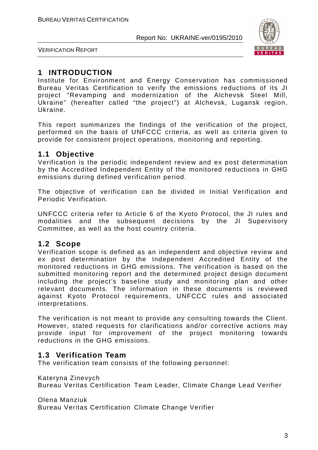

VERIFICATION REPORT

## **1 INTRODUCTION**

Institute for Environment and Energy Conservation has commissioned Bureau Veritas Certification to verify the emissions reductions of its JI project "Revamping and modernization of the Alchevsk Steel Mill, Ukraine" (hereafter called "the project") at Alchevsk, Lugansk region, Ukraine.

This report summarizes the findings of the verification of the project, performed on the basis of UNFCCC criteria, as well as criteria given to provide for consistent project operations, monitoring and reporting.

## **1.1 Objective**

Verification is the periodic independent review and ex post determination by the Accredited Independent Entity of the monitored reductions in GHG emissions during defined verification period.

The objective of verification can be divided in Initial Verification and Periodic Verification.

UNFCCC criteria refer to Article 6 of the Kyoto Protocol, the JI rules and modalities and the subsequent decisions by the JI Supervisory Committee, as well as the host country criteria.

## **1.2 Scope**

Verification scope is defined as an independent and objective review and ex post determination by the Independent Accredited Entity of the monitored reductions in GHG emissions. The verification is based on the submitted monitoring report and the determined project design document including the project's baseline study and monitoring plan and other relevant documents. The information in these documents is reviewed against Kyoto Protocol requirements, UNFCCC rules and associated interpretations.

The verification is not meant to provide any consulting towards the Client. However, stated requests for clarifications and/or corrective actions may provide input for improvement of the project monitoring towards reductions in the GHG emissions.

## **1.3 Verification Team**

The verification team consists of the following personnel:

Kateryna Zinevych Bureau Veritas Certification Team Leader, Climate Change Lead Verifier

Olena Manziuk

Bureau Veritas Certification Climate Change Verifier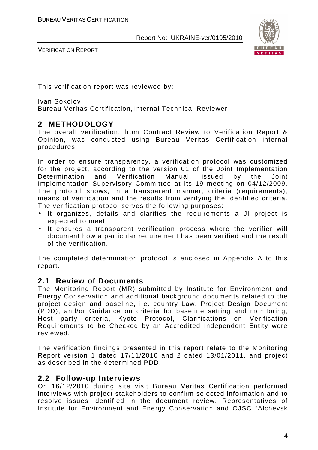

VERIFICATION REPORT

This verification report was reviewed by:

Ivan Sokolov Bureau Veritas Certification, Internal Technical Reviewer

## **2 METHODOLOGY**

The overall verification, from Contract Review to Verification Report & Opinion, was conducted using Bureau Veritas Certification internal procedures.

In order to ensure transparency, a verification protocol was customized for the project, according to the version 01 of the Joint Implementation Determination and Verification Manual, issued by the Joint Implementation Supervisory Committee at its 19 meeting on 04/12/2009. The protocol shows, in a transparent manner, criteria (requirements), means of verification and the results from verifying the identified criteria. The verification protocol serves the following purposes:

- It organizes, details and clarifies the requirements a JI project is expected to meet;
- It ensures a transparent verification process where the verifier will document how a particular requirement has been verified and the result of the verification.

The completed determination protocol is enclosed in Appendix A to this report.

## **2.1 Review of Documents**

The Monitoring Report (MR) submitted by Institute for Environment and Energy Conservation and additional background documents related to the project design and baseline, i.e. country Law, Project Design Document (PDD), and/or Guidance on criteria for baseline setting and monitoring, Host party criteria, Kyoto Protocol, Clarifications on Verification Requirements to be Checked by an Accredited Independent Entity were reviewed.

The verification findings presented in this report relate to the Monitoring Report version 1 dated 17/11/2010 and 2 dated 13/01/2011, and project as described in the determined PDD.

## **2.2 Follow-up Interviews**

On 16/12/2010 during site visit Bureau Veritas Certification performed interviews with project stakeholders to confirm selected information and to resolve issues identified in the document review. Representatives of Institute for Environment and Energy Conservation and OJSC "Alchevsk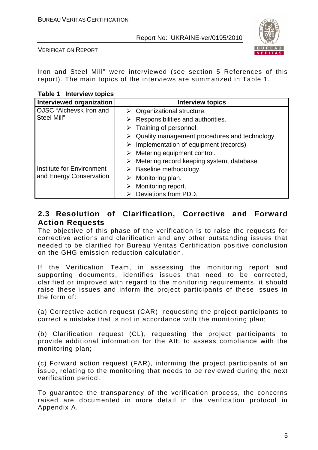

VERIFICATION REPORT

Iron and Steel Mill" were interviewed (see section 5 References of this report). The main topics of the interviews are summarized in Table 1.

#### **Table 1 Interview topics**

| <b>Interviewed organization</b> | <b>Interview topics</b>                                        |
|---------------------------------|----------------------------------------------------------------|
| OJSC "Alchevsk Iron and         | $\triangleright$ Organizational structure.                     |
| Steel Mill"                     | Responsibilities and authorities.                              |
|                                 | $\triangleright$ Training of personnel.                        |
|                                 | $\triangleright$ Quality management procedures and technology. |
|                                 | Implementation of equipment (records)                          |
|                                 | $\triangleright$ Metering equipment control.                   |
|                                 | Metering record keeping system, database.                      |
| Institute for Environment       | $\triangleright$ Baseline methodology.                         |
| and Energy Conservation         | Monitoring plan.                                               |
|                                 | Monitoring report.                                             |
|                                 | Deviations from PDD.                                           |

## **2.3 Resolution of Clarification, Corrective and Forward Action Requests**

The objective of this phase of the verification is to raise the requests for corrective actions and clarification and any other outstanding issues that needed to be clarified for Bureau Veritas Certification positive conclusion on the GHG emission reduction calculation.

If the Verification Team, in assessing the monitoring report and supporting documents, identifies issues that need to be corrected, clarified or improved with regard to the monitoring requirements, it should raise these issues and inform the project participants of these issues in the form of:

(a) Corrective action request (CAR), requesting the project participants to correct a mistake that is not in accordance with the monitoring plan;

(b) Clarification request (CL), requesting the project participants to provide additional information for the AIE to assess compliance with the monitoring plan;

(c) Forward action request (FAR), informing the project participants of an issue, relating to the monitoring that needs to be reviewed during the next verification period.

To guarantee the transparency of the verification process, the concerns raised are documented in more detail in the verification protocol in Appendix A.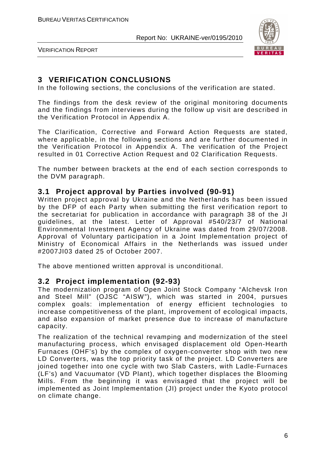

VERIFICATION REPORT

## **3 VERIFICATION CONCLUSIONS**

In the following sections, the conclusions of the verification are stated.

The findings from the desk review of the original monitoring documents and the findings from interviews during the follow up visit are described in the Verification Protocol in Appendix A.

The Clarification, Corrective and Forward Action Requests are stated, where applicable, in the following sections and are further documented in the Verification Protocol in Appendix A. The verification of the Project resulted in 01 Corrective Action Request and 02 Clarification Requests.

The number between brackets at the end of each section corresponds to the DVM paragraph.

## **3.1 Project approval by Parties involved (90-91)**

Written project approval by Ukraine and the Netherlands has been issued by the DFP of each Party when submitting the first verification report to the secretariat for publication in accordance with paragraph 38 of the JI guidelines, at the latest. Letter of Approval #540/23/7 of National Environmental Investment Agency of Ukraine was dated from 29/07/2008. Approval of Voluntary participation in a Joint Implementation project of Ministry of Economical Affairs in the Netherlands was issued under #2007JI03 dated 25 of October 2007.

The above mentioned written approval is unconditional.

## **3.2 Project implementation (92-93)**

The modernization program of Open Joint Stock Company "Alchevsk Iron and Steel Mill" (OJSC "AISW"), which was started in 2004, pursues complex goals: implementation of energy efficient technologies to increase competitiveness of the plant, improvement of ecological impacts, and also expansion of market presence due to increase of manufacture capacity.

The realization of the technical revamping and modernization of the steel manufacturing process, which envisaged displacement old Open-Hearth Furnaces (OHF's) by the complex of oxygen-converter shop with two new LD Converters, was the top priority task of the project. LD Converters are joined together into one cycle with two Slab Casters, with Ladle-Furnaces (LF's) and Vacuumator (VD Plant), which together displaces the Blooming Mills. From the beginning it was envisaged that the project will be implemented as Joint Implementation (JI) project under the Kyoto protocol on climate change.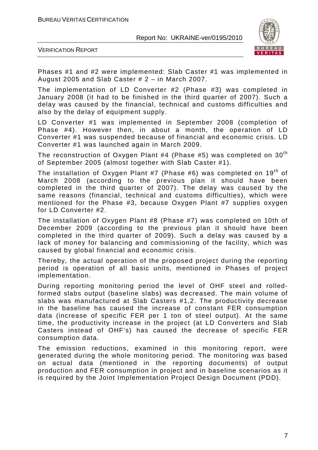

VERIFICATION REPORT

Phases #1 and #2 were implemented: Slab Caster #1 was implemented in August 2005 and Slab Caster # 2 – in March 2007.

The implementation of LD Converter #2 (Phase #3) was completed in January 2008 (it had to be finished in the third quarter of 2007). Such a delay was caused by the financial, technical and customs difficulties and also by the delay of equipment supply.

LD Converter #1 was implemented in September 2008 (completion of Phase #4). However then, in about a month, the operation of LD Converter #1 was suspended because of financial and economic crisis. LD Converter #1 was launched again in March 2009.

The reconstruction of Oxygen Plant #4 (Phase #5) was completed on  $30<sup>th</sup>$ of September 2005 (almost together with Slab Caster #1).

The installation of Oxygen Plant #7 (Phase #6) was completed on  $19<sup>th</sup>$  of March 2008 (according to the previous plan it should have been completed in the third quarter of 2007). The delay was caused by the same reasons (financial, technical and customs difficulties), which were mentioned for the Phase #3, because Oxygen Plant #7 supplies oxygen for LD Converter #2.

The installation of Oxygen Plant #8 (Phase #7) was completed on 10th of December 2009 (according to the previous plan it should have been completed in the third quarter of 2009). Such a delay was caused by a lack of money for balancing and commissioning of the facility, which was caused by global financial and economic crisis.

Thereby, the actual operation of the proposed project during the reporting period is operation of all basic units, mentioned in Phases of project implementation.

During reporting monitoring period the level of OHF steel and rolledformed slabs output (baseline slabs) was decreased. The main volume of slabs was manufactured at Slab Casters #1,2. The productivity decrease in the baseline has caused the increase of constant FER consumption data (increase of specific FER per 1 ton of steel output). At the same time, the productivity increase in the project (at LD Converters and Slab Casters instead of OHF's) has caused the decrease of specific FER consumption data.

The emission reductions, examined in this monitoring report, were generated during the whole monitoring period. The monitoring was based on actual data (mentioned in the reporting documents) of output production and FER consumption in project and in baseline scenarios as it is required by the Joint Implementation Project Design Document (PDD).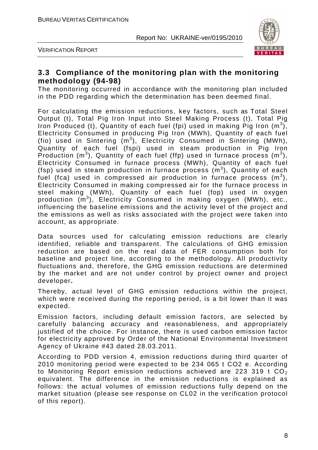



## **3.3 Compliance of the monitoring plan with the monitoring methodology (94-98)**

The monitoring occurred in accordance with the monitoring plan included in the PDD regarding which the determination has been deemed final.

For calculating the emission reductions, key factors, such as Total Steel Output (t), Total Pig Iron Input into Steel Making Process (t), Total Pig Iron Produced (t), Quantity of each fuel (fpi) used in making Pig Iron  $(m^3)$ , Electricity Consumed in producing Pig Iron (MWh), Quantity of each fuel (fio) used in Sintering  $(m^3)$ , Electricity Consumed in Sintering (MWh), Quantity of each fuel (fspi) used in steam production in Pig Iron Production (m<sup>3</sup>), Quantity of each fuel (ffp) used in furnace process (m<sup>3</sup>), Electricity Consumed in furnace process (MWh), Quantity of each fuel (fsp) used in steam production in furnace process  $(m^3)$ , Quantity of each fuel (fca) used in compressed air production in furnace process  $(m^3)$ , Electricity Consumed in making compressed air for the furnace process in steel making (MWh), Quantity of each fuel (fop) used in oxygen production (m<sup>3</sup>), Electricity Consumed in making oxygen (MWh), etc., influencing the baseline emissions and the activity level of the project and the emissions as well as risks associated with the project were taken into account, as appropriate.

Data sources used for calculating emission reductions are clearly identified, reliable and transparent. The calculations of GHG emission reduction are based on the real data of FER consumption both for baseline and project line, according to the methodology. All productivity fluctuations and, therefore, the GHG emission reductions are determined by the market and are not under control by project owner and project developer**.** 

Thereby, actual level of GHG emission reductions within the project, which were received during the reporting period, is a bit lower than it was expected.

Emission factors, including default emission factors, are selected by carefully balancing accuracy and reasonableness, and appropriately justified of the choice. For instance, there is used carbon emission factor for electricity approved by Order of the National Environmental Investment Agency of Ukraine #43 dated 28.03.2011.

According to PDD version 4, emission reductions during third quarter of 2010 monitoring period were expected to be 234 065 t CO2 e. According to Monitoring Report emission reductions achieved are 223 319 t  $CO<sub>2</sub>$ equivalent. The difference in the emission reductions is explained as follows: the actual volumes of emission reductions fully depend on the market situation (please see response on CL02 in the verification protocol of this report).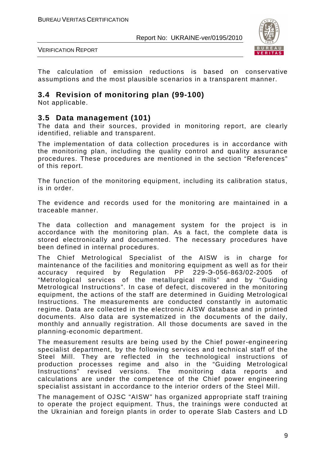

VERIFICATION REPORT

The calculation of emission reductions is based on conservative assumptions and the most plausible scenarios in a transparent manner.

## **3.4 Revision of monitoring plan (99-100)**

Not applicable.

## **3.5 Data management (101)**

The data and their sources, provided in monitoring report, are clearly identified, reliable and transparent.

The implementation of data collection procedures is in accordance with the monitoring plan, including the quality control and quality assurance procedures. These procedures are mentioned in the section "References" of this report.

The function of the monitoring equipment, including its calibration status, is in order.

The evidence and records used for the monitoring are maintained in a traceable manner.

The data collection and management system for the project is in accordance with the monitoring plan. As a fact, the complete data is stored electronically and documented. The necessary procedures have been defined in internal procedures.

The Chief Metrological Specialist of the AISW is in charge for maintenance of the facilities and monitoring equipment as well as for their accuracy required by Regulation PP 229-Э-056-863/02-2005 of "Metrological services of the metallurgical mills" and by "Guiding Metrological Instructions". In case of defect, discovered in the monitoring equipment, the actions of the staff are determined in Guiding Metrological Instructions. The measurements are conducted constantly in automatic regime. Data are collected in the electronic AISW database and in printed documents. Also data are systematized in the documents of the daily, monthly and annually registration. All those documents are saved in the planning-economic department.

The measurement results are being used by the Chief power-engineering specialist department, by the following services and technical staff of the Steel Mill. They are reflected in the technological instructions of production processes regime and also in the "Guiding Metrological Instructions" revised versions. The monitoring data reports and calculations are under the competence of the Chief power engineering specialist assistant in accordance to the interior orders of the Steel Mill.

The management of OJSC "AISW" has organized appropriate staff training to operate the project equipment. Thus, the trainings were conducted at the Ukrainian and foreign plants in order to operate Slab Casters and LD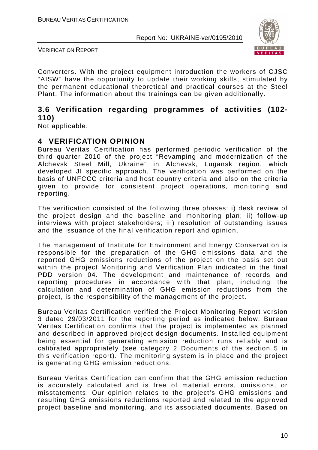

VERIFICATION REPORT

Converters. With the project equipment introduction the workers of OJSC "AISW" have the opportunity to update their working skills, stimulated by the permanent educational theoretical and practical courses at the Steel Plant. The information about the trainings can be given additionally.

## **3.6 Verification regarding programmes of activities (102- 110)**

Not applicable.

## **4 VERIFICATION OPINION**

Bureau Veritas Certification has performed periodic verification of the third quarter 2010 of the project "Revamping and modernization of the Alchevsk Steel Mill, Ukraine" in Alchevsk, Lugansk region, which developed JI specific approach. The verification was performed on the basis of UNFCCC criteria and host country criteria and also on the criteria given to provide for consistent project operations, monitoring and reporting.

The verification consisted of the following three phases: i) desk review of the project design and the baseline and monitoring plan; ii) follow-up interviews with project stakeholders; iii) resolution of outstanding issues and the issuance of the final verification report and opinion.

The management of Institute for Environment and Energy Conservation is responsible for the preparation of the GHG emissions data and the reported GHG emissions reductions of the project on the basis set out within the project Monitoring and Verification Plan indicated in the final PDD version 04. The development and maintenance of records and reporting procedures in accordance with that plan, including the calculation and determination of GHG emission reductions from the project, is the responsibility of the management of the project.

Bureau Veritas Certification verified the Project Monitoring Report version 3 dated 29/03/2011 for the reporting period as indicated below. Bureau Veritas Certification confirms that the project is implemented as planned and described in approved project design documents. Installed equipment being essential for generating emission reduction runs reliably and is calibrated appropriately (see category 2 Documents of the section 5 in this verification report). The monitoring system is in place and the project is generating GHG emission reductions.

Bureau Veritas Certification can confirm that the GHG emission reduction is accurately calculated and is free of material errors, omissions, or misstatements. Our opinion relates to the project's GHG emissions and resulting GHG emissions reductions reported and related to the approved project baseline and monitoring, and its associated documents. Based on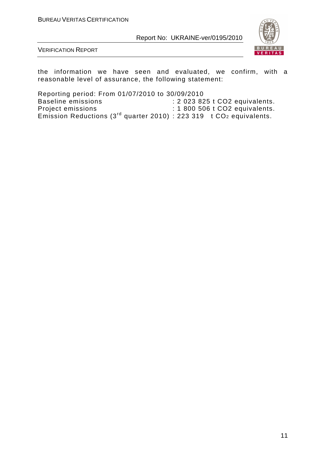

VERIFICATION REPORT

the information we have seen and evaluated, we confirm, with a reasonable level of assurance, the following statement:

Reporting period: From 01/07/2010 to 30/09/2010 Baseline emissions : 2 023 825 t CO2 equivalents. Project emissions : 1 800 506 t CO2 equivalents. Emission Reductions (3<sup>rd</sup> quarter 2010) : 223 319 t CO<sub>2</sub> equivalents.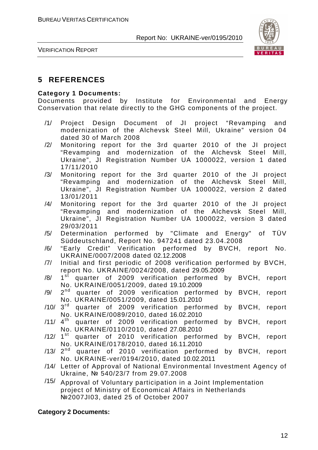

VERIFICATION REPORT

## **5 REFERENCES**

#### **Category 1 Documents:**

Documents provided by Institute for Environmental and Energy Conservation that relate directly to the GHG components of the project.

- /1/ Project Design Document of JI project "Revamping and modernization of the Alchevsk Steel Mill, Ukraine" version 04 dated 30 of March 2008
- /2/ Monitoring report for the 3rd quarter 2010 of the JI project "Revamping and modernization of the Alchevsk Steel Mill, Ukraine", JI Registration Number UA 1000022, version 1 dated 17/11/2010
- /3/ Monitoring report for the 3rd quarter 2010 of the JI project "Revamping and modernization of the Alchevsk Steel Mill, Ukraine", JI Registration Number UA 1000022, version 2 dated 13/01/2011
- /4/ Monitoring report for the 3rd quarter 2010 of the JI project "Revamping and modernization of the Alchevsk Steel Mill, Ukraine", JI Registration Number UA 1000022, version 3 dated 29/03/2011
- /5/ Determination performed by "Climate and Energy" of TÜV Süddeutschland, Report No. 947241 dated 23.04.2008
- /6/ "Early Credit" Verification performed by BVCH, report No. UKRAINE/0007/2008 dated 02.12.2008
- /7/ Initial and first periodic of 2008 verification performed by BVCH, report No. UKRAINE/0024/2008, dated 29.05.2009
- /8/ 1 1<sup>st</sup> quarter of 2009 verification performed by BVCH, report No. UKRAINE/0051/2009, dated 19.10.2009
- /9/ 2  $2^{nd}$  quarter of 2009 verification performed by BVCH, report No. UKRAINE/0051/2009, dated 15.01.2010
- /10/ 3<sup>rd</sup> quarter of 2009 verification performed by BVCH, report No. UKRAINE/0089/2010, dated 16.02.2010
- /11/  $4^{\text{th}}$  quarter of 2009 verification performed by BVCH, report No. UKRAINE/0110/2010, dated 27.08.2010
- /12/ 1<sup>st</sup> quarter of 2010 verification performed by BVCH, report No. UKRAINE/0178/2010, dated 16.11.2010
- /13/ 2<sup>nd</sup> quarter of 2010 verification performed by BVCH, report No. UKRAINE-ver/0194/2010, dated 10.02.2011
- /14/ Letter of Approval of National Environmental Investment Agency of Ukraine, № 540/23/7 from 29.07.2008
- /15/ Approval of Voluntary participation in a Joint Implementation project of Ministry of Economical Affairs in Netherlands №2007JI03, dated 25 of October 2007

#### **Category 2 Documents:**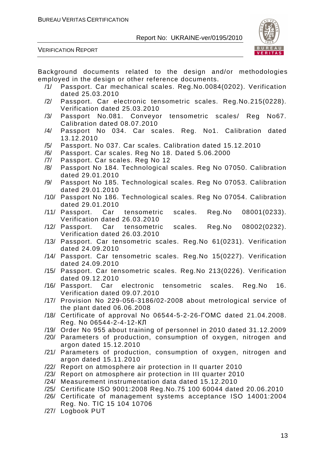



Background documents related to the design and/or methodologies employed in the design or other reference documents.

- /1/ Passport. Car mechanical scales. Reg.No.0084(0202). Verification dated 25.03.2010
- /2/ Passport. Car electronic tensometric scales. Reg.No.215(0228). Verification dated 25.03.2010
- /3/ Passport No.081. Conveyor tensometric scales/ Reg No67. Calibration dated 08.07.2010
- /4/ Passport No 034. Car scales. Reg. No1. Calibration dated 13.12.2010
- /5/ Passport. No 037. Car scales. Calibration dated 15.12.2010
- /6/ Passport. Car scales. Reg No 18. Dated 5.06.2000
- /7/ Passport. Car scales. Reg No 12
- /8/ Passport No 184. Technological scales. Reg No 07050. Calibration dated 29.01.2010
- /9/ Passport No 185. Technological scales. Reg No 07053. Calibration dated 29.01.2010
- /10/ Passport No 186. Technological scales. Reg No 07054. Calibration dated 29.01.2010
- /11/ Passport. Car tensometric scales. Reg.No 08001(0233). Verification dated 26.03.2010
- /12/ Passport. Car tensometric scales. Reg.No 08002(0232). Verification dated 26.03.2010
- /13/ Passport. Car tensometric scales. Reg.No 61(0231). Verification dated 24.09.2010
- /14/ Passport. Car tensometric scales. Reg.No 15(0227). Verification dated 24.09.2010
- /15/ Passport. Car tensometric scales. Reg.No 213(0226). Verification dated 09.12.2010
- /16/ Passport. Car electronic tensometric scales. Reg.No 16. Verification dated 09.07.2010
- /17/ Provision No 229-056-3186/02-2008 about metrological service of the plant dated 06.06.2008
- /18/ Certificate of approval No 06544-5-2-26-ГОМС dated 21.04.2008. Reg. No 06544-2-4-12-КЛ
- /19/ Order No 955 about training of personnel in 2010 dated 31.12.2009
- /20/ Parameters of production, consumption of oxygen, nitrogen and argon dated 15.12.2010
- /21/ Parameters of production, consumption of oxygen, nitrogen and argon dated 15.11.2010
- /22/ Report on atmosphere air protection in II quarter 2010
- /23/ Report on atmosphere air protection in III quarter 2010
- /24/ Measurement instrumentation data dated 15.12.2010
- /25/ Certificate ISO 9001:2008 Reg.No.75 100 60044 dated 20.06.2010
- /26/ Certificate of management systems acceptance ISO 14001:2004 Reg. No. ТІС 15 104 10706
- /27/ Logbook PUT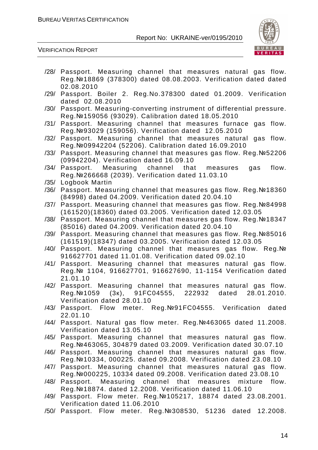

- /28/ Passport. Measuring channel that measures natural gas flow. Reg.№18869 (378300) dated 08.08.2003. Verification dated dated 02.08.2010
- /29/ Passport. Boiler 2. Reg.No.378300 dated 01.2009. Verification dated 02.08.2010
- /30/ Passport. Measuring-converting instrument of differential pressure. Reg.№159056 (93029). Calibration dated 18.05.2010
- /31/ Passport. Measuring channel that measures furnace gas flow. Reg.№93029 (159056). Verification dated 12.05.2010
- /32/ Passport. Measuring channel that measures natural gas flow. Reg.№09942204 (52206). Calibration dated 16.09.2010
- /33/ Passport. Measuring channel that measures gas flow. Reg.№52206 (09942204). Verification dated 16.09.10
- /34/ Passport. Measuring channel that measures gas flow. Reg.№266668 (2039). Verification dated 11.03.10
- /35/ Logbook Martin
- /36/ Passport. Measuring channel that measures gas flow. Reg.№18360 (84998) dated 04.2009. Verification dated 20.04.10
- /37/ Passport. Measuring channel that measures gas flow. Reg.№84998 (161520)(18360) dated 03.2005. Verification dated 12.03.05
- /38/ Passport. Measuring channel that measures gas flow. Reg.№18347 (85016) dated 04.2009. Verification dated 20.04.10
- /39/ Passport. Measuring channel that measures gas flow. Reg.№85016 (161519)(18347) dated 03.2005. Verification dated 12.03.05
- /40/ Passport. Measuring channel that measures gas flow. Reg.№ 916627701 dated 11.01.08. Verification dated 09.02.10
- /41/ Passport. Measuring channel that measures natural gas flow. Reg.№ 1104, 916627701, 916627690, 11-1154 Verification dated 21.01.10
- /42/ Passport. Measuring channel that measures natural gas flow. Reg.№1059 (3к), 91FC04555, 222932 dated 28.01.2010. Verification dated 28.01.10
- /43/ Passport. Flow meter. Reg.№91FC04555. Verification dated 22.01.10
- /44/ Passport. Natural gas flow meter. Reg.№463065 dated 11.2008. Verification dated 13.05.10
- /45/ Passport. Measuring channel that measures natural gas flow. Reg.№463065, 304879 dated 03.2009. Verification dated 30.07.10
- /46/ Passport. Measuring channel that measures natural gas flow. Reg.№10334, 000225. dated 09.2008. Verification dated 23.08.10
- /47/ Passport. Measuring channel that measures natural gas flow. Reg.№000225, 10334 dated 09.2008. Verification dated 23.08.10
- /48/ Passport. Measuring channel that measures mixture flow. Reg.№18874. dated 12.2008. Verification dated 11.06.10
- /49/ Passport. Flow meter. Reg.№105217, 18874 dated 23.08.2001. Verification dated 11.06.2010
- /50/ Passport. Flow meter. Reg.№308530, 51236 dated 12.2008.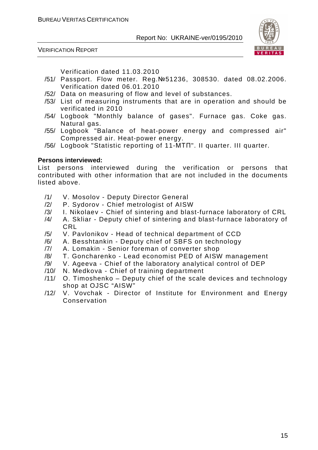

VERIFICATION REPORT

Verification dated 11.03.2010

- /51/ Passport. Flow meter. Reg.№51236, 308530. dated 08.02.2006. Verification dated 06.01.2010
- /52/ Data on measuring of flow and level of substances.
- /53/ List of measuring instruments that are in operation and should be verificated in 2010
- /54/ Logbook "Monthly balance of gases". Furnace gas. Coke gas. Natural gas.
- /55/ Logbook "Balance of heat-power energy and compressed air" Compressed air. Heat-power energy.
- /56/ Logbook "Statistic reporting of 11-МТП". II quarter. III quarter.

#### **Persons interviewed:**

List persons interviewed during the verification or persons that contributed with other information that are not included in the documents listed above.

- /1/ V. Mosolov Deputy Director General
- /2/ P. Sydorov Chief metrologist of AISW
- /3/ I. Nikolaev Chief of sintering and blast-furnace laboratory of CRL
- /4/ A. Skliar Deputy chief of sintering and blast-furnace laboratory of CRL
- /5/ V. Pavlonikov Head of technical department of CCD
- /6/ A. Besshtankin Deputy chief of SBFS on technology
- /7/ A. Lomakin Senior foreman of converter shop
- /8/ T. Goncharenko Lead economist PED of AISW management
- /9/ V. Ageeva Chief of the laboratory analytical control of DEP
- /10/ N. Medkova Chief of training department
- /11/ O. Timoshenko Deputy chief of the scale devices and technology shop at OJSC "AISW"
- /12/ V. Vovchak Director of Institute for Environment and Energy Conservation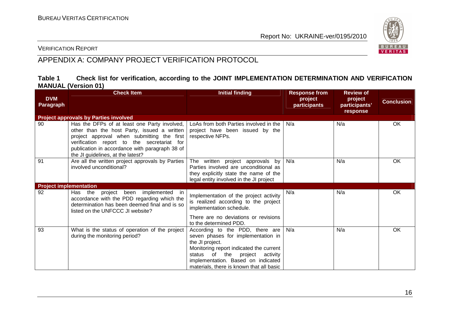

### VERIFICATION REPORT

## APPENDIX A: COMPANY PROJECT VERIFICATION PROTOCOL

#### **Table 1 Check list for verification, according to the JOINT IMPLEMENTATION DETERMINATION AND VERIFICATION MANUAL (Version 01)**

|                                | <b>Check Item</b>                                                                                                                                                                                                                                                              | <b>Initial finding</b>                                                                                                                                                                                                                                  | <b>Response from</b>    | <b>Review of</b>                     |                   |
|--------------------------------|--------------------------------------------------------------------------------------------------------------------------------------------------------------------------------------------------------------------------------------------------------------------------------|---------------------------------------------------------------------------------------------------------------------------------------------------------------------------------------------------------------------------------------------------------|-------------------------|--------------------------------------|-------------------|
| <b>DVM</b><br><b>Paragraph</b> |                                                                                                                                                                                                                                                                                |                                                                                                                                                                                                                                                         | project<br>participants | project<br>participants'<br>response | <b>Conclusion</b> |
|                                | <b>Project approvals by Parties involved</b>                                                                                                                                                                                                                                   |                                                                                                                                                                                                                                                         |                         |                                      |                   |
| 90                             | Has the DFPs of at least one Party involved,<br>other than the host Party, issued a written<br>project approval when submitting the first<br>verification report to the secretariat for<br>publication in accordance with paragraph 38 of<br>the JI guidelines, at the latest? | LoAs from both Parties involved in the<br>project have been issued by the<br>respective NFPs.                                                                                                                                                           | N/a                     | N/a                                  | <b>OK</b>         |
| 91                             | Are all the written project approvals by Parties<br>involved unconditional?                                                                                                                                                                                                    | The written project approvals by<br>Parties involved are unconditional as<br>they explicitly state the name of the<br>legal entity involved in the JI project                                                                                           | N/a                     | N/a                                  | <b>OK</b>         |
| <b>Project implementation</b>  |                                                                                                                                                                                                                                                                                |                                                                                                                                                                                                                                                         |                         |                                      |                   |
| 92                             | Has the project been implemented in<br>accordance with the PDD regarding which the<br>determination has been deemed final and is so<br>listed on the UNFCCC JI website?                                                                                                        | Implementation of the project activity<br>is realized according to the project<br>implementation schedule.<br>There are no deviations or revisions                                                                                                      | N/a                     | N/a                                  | OK                |
|                                |                                                                                                                                                                                                                                                                                | to the determined PDD.                                                                                                                                                                                                                                  |                         |                                      |                   |
| 93                             | What is the status of operation of the project<br>during the monitoring period?                                                                                                                                                                                                | According to the PDD, there are<br>seven phases for implementation in<br>the JI project.<br>Monitoring report indicated the current<br>status of the project activity<br>implementation. Based on indicated<br>materials, there is known that all basic | N/a                     | N/a                                  | OK                |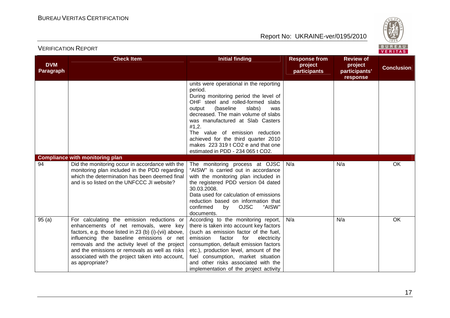

| <b>DVM</b><br>Paragraph | <b>Check Item</b>                                                                                                                                                                                                                                                                                                                                                    | <b>Initial finding</b>                                                                                                                                                                                                                                                                                                                                                                                            | <b>Response from</b><br>project<br>participants | <b>Review of</b><br>project<br>participants'<br>response | <b>Conclusion</b> |
|-------------------------|----------------------------------------------------------------------------------------------------------------------------------------------------------------------------------------------------------------------------------------------------------------------------------------------------------------------------------------------------------------------|-------------------------------------------------------------------------------------------------------------------------------------------------------------------------------------------------------------------------------------------------------------------------------------------------------------------------------------------------------------------------------------------------------------------|-------------------------------------------------|----------------------------------------------------------|-------------------|
|                         |                                                                                                                                                                                                                                                                                                                                                                      | units were operational in the reporting<br>period.<br>During monitoring period the level of<br>OHF steel and rolled-formed slabs<br>(baseline<br>slabs)<br>output<br>was<br>decreased. The main volume of slabs<br>was manufactured at Slab Casters<br>#1,2.<br>The value of emission reduction<br>achieved for the third quarter 2010<br>makes 223 319 t CO2 e and that one<br>estimated in PDD - 234 065 t CO2. |                                                 |                                                          |                   |
|                         | <b>Compliance with monitoring plan</b>                                                                                                                                                                                                                                                                                                                               |                                                                                                                                                                                                                                                                                                                                                                                                                   |                                                 |                                                          |                   |
| 94                      | Did the monitoring occur in accordance with the<br>monitoring plan included in the PDD regarding<br>which the determination has been deemed final<br>and is so listed on the UNFCCC JI website?                                                                                                                                                                      | The monitoring process at OJSC<br>"AISW" is carried out in accordance<br>with the monitoring plan included in<br>the registered PDD version 04 dated<br>30.03.2008.<br>Data used for calculation of emissions<br>reduction based on information that<br>confirmed<br>"AISW"<br><b>OJSC</b><br>by<br>documents.                                                                                                    | N/a                                             | N/a                                                      | OK                |
| 95(a)                   | For calculating the emission reductions or<br>enhancements of net removals, were key<br>factors, e.g. those listed in 23 (b) (i)-(vii) above,<br>influencing the baseline emissions or net<br>removals and the activity level of the project<br>and the emissions or removals as well as risks<br>associated with the project taken into account,<br>as appropriate? | According to the monitoring report,<br>there is taken into account key factors<br>(such as emission factor of the fuel,<br>emission<br>factor<br>for<br>electricity<br>consumption, default emission factors<br>etc.), production level, amount of the<br>fuel consumption, market situation<br>and other risks associated with the<br>implementation of the project activity                                     | N/a                                             | N/a                                                      | OK                |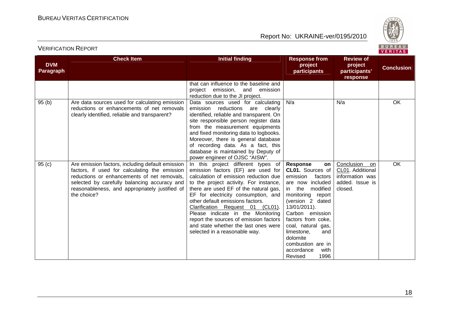

| <b>DVM</b><br>Paragraph | <b>Check Item</b>                                                                                                                                                                                                                                                 | <b>Initial finding</b>                                                                                                                                                                                                                                                                                                                                                                                                                                                      | <b>Response from</b><br>project<br>participants                                                                                                                                                                                                                                                                                   | <b>Review of</b><br>project<br>participants'<br>response                              | <b>Conclusion</b> |
|-------------------------|-------------------------------------------------------------------------------------------------------------------------------------------------------------------------------------------------------------------------------------------------------------------|-----------------------------------------------------------------------------------------------------------------------------------------------------------------------------------------------------------------------------------------------------------------------------------------------------------------------------------------------------------------------------------------------------------------------------------------------------------------------------|-----------------------------------------------------------------------------------------------------------------------------------------------------------------------------------------------------------------------------------------------------------------------------------------------------------------------------------|---------------------------------------------------------------------------------------|-------------------|
|                         |                                                                                                                                                                                                                                                                   | that can influence to the baseline and<br>project<br>emission,<br>and<br>emission<br>reduction due to the JI project.                                                                                                                                                                                                                                                                                                                                                       |                                                                                                                                                                                                                                                                                                                                   |                                                                                       |                   |
| 95(b)                   | Are data sources used for calculating emission<br>reductions or enhancements of net removals<br>clearly identified, reliable and transparent?                                                                                                                     | Data sources used for calculating<br>emission reductions<br>are clearly<br>identified, reliable and transparent. On<br>site responsible person register data<br>from the measurement equipments<br>and fixed monitoring data to logbooks.<br>Moreover, there is general database<br>of recording data. As a fact, this<br>database is maintained by Deputy of<br>power engineer of OJSC "AISW".                                                                             | N/a                                                                                                                                                                                                                                                                                                                               | N/a                                                                                   | <b>OK</b>         |
| 95(c)                   | Are emission factors, including default emission<br>factors, if used for calculating the emission<br>reductions or enhancements of net removals,<br>selected by carefully balancing accuracy and<br>reasonableness, and appropriately justified of<br>the choice? | In this project different types of<br>emission factors (EF) are used for<br>calculation of emission reduction due<br>to the project activity. For instance,<br>there are used EF of the natural gas,<br>EF for electricity consumption, and<br>other default emissions factors.<br>Clarification Request 01 (CL01).<br>Please indicate in the Monitoring<br>report the sources of emission factors<br>and state whether the last ones were<br>selected in a reasonable way. | <b>Response</b><br>on<br>CL01. Sources of<br>emission<br>factors<br>are now included<br>in the<br>modified<br>monitoring report<br>(version 2 dated<br>13/01/2011).<br>Carbon emission<br>factors from coke,<br>coal, natural gas,<br>limestone,<br>and<br>dolomite<br>combustion are in<br>accordance<br>with<br>1996<br>Revised | Conclusion<br>on<br>CL01. Additional<br>information was<br>added. Issue is<br>closed. | OK                |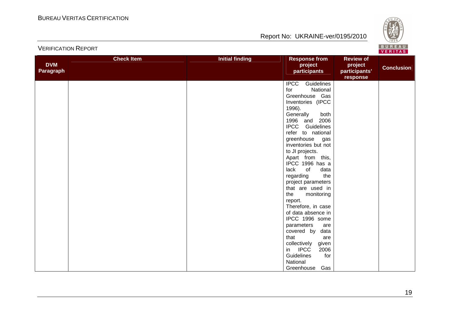VERIFICATION REPORT

## Report No: UKRAINE-ver/0195/2010



| <b>DVM</b><br>Paragraph | <b>Check Item</b> | <b>Initial finding</b> | <b>Response from</b><br>project<br>participants | <b>Review of</b><br>project<br>participants'<br>response | <b>Conclusion</b> |
|-------------------------|-------------------|------------------------|-------------------------------------------------|----------------------------------------------------------|-------------------|
|                         |                   |                        | <b>IPCC</b><br>Guidelines                       |                                                          |                   |
|                         |                   |                        | for<br>National                                 |                                                          |                   |
|                         |                   |                        | Greenhouse Gas                                  |                                                          |                   |
|                         |                   |                        | Inventories (IPCC                               |                                                          |                   |
|                         |                   |                        | 1996).                                          |                                                          |                   |
|                         |                   |                        | Generally<br>both                               |                                                          |                   |
|                         |                   |                        | 1996 and 2006                                   |                                                          |                   |
|                         |                   |                        | <b>IPCC</b> Guidelines                          |                                                          |                   |
|                         |                   |                        | refer to national                               |                                                          |                   |
|                         |                   |                        | greenhouse gas<br>inventories but not           |                                                          |                   |
|                         |                   |                        | to JI projects.                                 |                                                          |                   |
|                         |                   |                        | Apart from this,                                |                                                          |                   |
|                         |                   |                        | IPCC 1996 has a                                 |                                                          |                   |
|                         |                   |                        | lack<br>of<br>data                              |                                                          |                   |
|                         |                   |                        | the<br>regarding                                |                                                          |                   |
|                         |                   |                        | project parameters                              |                                                          |                   |
|                         |                   |                        | that are used in                                |                                                          |                   |
|                         |                   |                        | the<br>monitoring                               |                                                          |                   |
|                         |                   |                        | report.                                         |                                                          |                   |
|                         |                   |                        | Therefore, in case                              |                                                          |                   |
|                         |                   |                        | of data absence in                              |                                                          |                   |
|                         |                   |                        | IPCC 1996 some                                  |                                                          |                   |
|                         |                   |                        | parameters<br>are                               |                                                          |                   |
|                         |                   |                        | covered by<br>data                              |                                                          |                   |
|                         |                   |                        | that<br>are                                     |                                                          |                   |
|                         |                   |                        | collectively<br>given<br>in IPCC                |                                                          |                   |
|                         |                   |                        | 2006<br>Guidelines<br>for                       |                                                          |                   |
|                         |                   |                        | National                                        |                                                          |                   |
|                         |                   |                        | Greenhouse<br>Gas                               |                                                          |                   |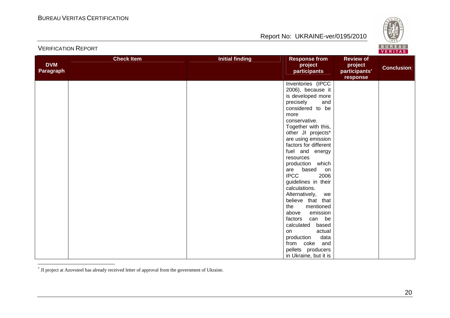

|            | <b>Check Item</b> | <b>Initial finding</b> | <b>Response from</b>                   | <b>Review of</b>          |                   |
|------------|-------------------|------------------------|----------------------------------------|---------------------------|-------------------|
| <b>DVM</b> |                   |                        | project                                | project                   | <b>Conclusion</b> |
| Paragraph  |                   |                        | participants                           | participants'<br>response |                   |
|            |                   |                        | Inventories (IPCC                      |                           |                   |
|            |                   |                        | 2006), because it                      |                           |                   |
|            |                   |                        | is developed more                      |                           |                   |
|            |                   |                        | precisely<br>and                       |                           |                   |
|            |                   |                        | considered to be                       |                           |                   |
|            |                   |                        | more                                   |                           |                   |
|            |                   |                        | conservative.                          |                           |                   |
|            |                   |                        | Together with this,                    |                           |                   |
|            |                   |                        | other JI projects*                     |                           |                   |
|            |                   |                        | are using emission                     |                           |                   |
|            |                   |                        | factors for different                  |                           |                   |
|            |                   |                        | fuel and energy                        |                           |                   |
|            |                   |                        | resources                              |                           |                   |
|            |                   |                        | production which<br>based<br>are<br>on |                           |                   |
|            |                   |                        | <b>IPCC</b><br>2006                    |                           |                   |
|            |                   |                        | guidelines in their                    |                           |                   |
|            |                   |                        | calculations.                          |                           |                   |
|            |                   |                        | Alternatively,<br>we                   |                           |                   |
|            |                   |                        | believe that that                      |                           |                   |
|            |                   |                        | the<br>mentioned                       |                           |                   |
|            |                   |                        | emission<br>above                      |                           |                   |
|            |                   |                        | can be<br>factors                      |                           |                   |
|            |                   |                        | calculated<br>based                    |                           |                   |
|            |                   |                        | actual<br>on                           |                           |                   |
|            |                   |                        | data<br>production                     |                           |                   |
|            |                   |                        | from coke and                          |                           |                   |
|            |                   |                        | pellets producers                      |                           |                   |
|            |                   |                        | in Ukraine, but it is                  |                           |                   |

\* JI project at Azovsteel has already received letter of approval from the government of Ukraine.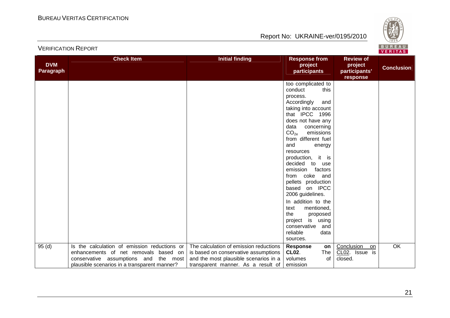



| <b>DVM</b><br>Paragraph | <b>Check Item</b>                            | <b>Initial finding</b>                 | <b>Response from</b><br>project<br>participants | <b>Review of</b><br>project<br>participants' | <b>Conclusion</b> |
|-------------------------|----------------------------------------------|----------------------------------------|-------------------------------------------------|----------------------------------------------|-------------------|
|                         |                                              |                                        |                                                 | response                                     |                   |
|                         |                                              |                                        | too complicated to                              |                                              |                   |
|                         |                                              |                                        | this<br>conduct                                 |                                              |                   |
|                         |                                              |                                        | process.                                        |                                              |                   |
|                         |                                              |                                        | Accordingly<br>and                              |                                              |                   |
|                         |                                              |                                        | taking into account                             |                                              |                   |
|                         |                                              |                                        | that IPCC 1996                                  |                                              |                   |
|                         |                                              |                                        | does not have any                               |                                              |                   |
|                         |                                              |                                        | data<br>concerning                              |                                              |                   |
|                         |                                              |                                        | CO <sub>2e</sub><br>emissions                   |                                              |                   |
|                         |                                              |                                        | from different fuel                             |                                              |                   |
|                         |                                              |                                        | and<br>energy                                   |                                              |                   |
|                         |                                              |                                        | resources                                       |                                              |                   |
|                         |                                              |                                        | it is<br>production,                            |                                              |                   |
|                         |                                              |                                        | decided<br>to<br>use                            |                                              |                   |
|                         |                                              |                                        | factors<br>emission                             |                                              |                   |
|                         |                                              |                                        | coke<br>and<br>from                             |                                              |                   |
|                         |                                              |                                        | pellets production                              |                                              |                   |
|                         |                                              |                                        | based on IPCC                                   |                                              |                   |
|                         |                                              |                                        | 2006 guidelines.                                |                                              |                   |
|                         |                                              |                                        | In addition to the                              |                                              |                   |
|                         |                                              |                                        | mentioned,<br>text                              |                                              |                   |
|                         |                                              |                                        | the<br>proposed                                 |                                              |                   |
|                         |                                              |                                        | project is using                                |                                              |                   |
|                         |                                              |                                        | conservative<br>and                             |                                              |                   |
|                         |                                              |                                        | reliable<br>data                                |                                              |                   |
|                         |                                              |                                        | sources.                                        |                                              |                   |
| 95(d)                   | Is the calculation of emission reductions or | The calculation of emission reductions | <b>Response</b><br>on                           | Conclusion<br>on                             | $\overline{OK}$   |
|                         | enhancements of net removals based on        | is based on conservative assumptions   | <b>CL02.</b><br>The                             | CL02. Issue is                               |                   |
|                         | conservative assumptions and<br>the most     | and the most plausible scenarios in a  | of<br>volumes                                   | closed.                                      |                   |
|                         | plausible scenarios in a transparent manner? | transparent manner. As a result of     | emission                                        |                                              |                   |
|                         |                                              |                                        |                                                 |                                              |                   |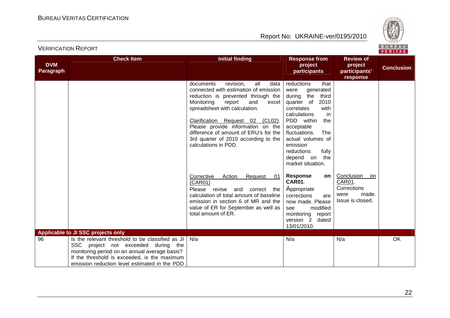

| <b>DVM</b> | <b>Check Item</b>                                                                                                                                                                                                                         | <b>Initial finding</b>                                                                                                                                                                                                                                                                                                                                                          | <b>Response from</b><br>project                                                                                                                                                                                                                                                                 | <b>Review of</b><br>project                                                     | <b>Conclusion</b> |
|------------|-------------------------------------------------------------------------------------------------------------------------------------------------------------------------------------------------------------------------------------------|---------------------------------------------------------------------------------------------------------------------------------------------------------------------------------------------------------------------------------------------------------------------------------------------------------------------------------------------------------------------------------|-------------------------------------------------------------------------------------------------------------------------------------------------------------------------------------------------------------------------------------------------------------------------------------------------|---------------------------------------------------------------------------------|-------------------|
| Paragraph  |                                                                                                                                                                                                                                           |                                                                                                                                                                                                                                                                                                                                                                                 | participants                                                                                                                                                                                                                                                                                    | participants'                                                                   |                   |
|            |                                                                                                                                                                                                                                           | documents<br>revision.<br>all<br>data<br>connected with estimation of emission<br>reduction is prevented through the<br>Monitoring<br>report<br>and<br>excel<br>spreadsheet with calculation.<br>Clarification Request 02 (CL02).<br>Please provide information on the<br>difference of amount of ERU's for the<br>3rd quarter of 2010 according to the<br>calculations in PDD. | reductions<br>that<br>generated<br>were<br>the<br>third<br>during<br>2010<br>quarter of<br>correlates<br>with<br>calculations<br>in<br>PDD within<br>the<br>acceptable<br>fluctuations.<br>The<br>actual volumes of<br>emission<br>fully<br>reductions<br>depend on<br>the<br>market situation. | response                                                                        |                   |
|            |                                                                                                                                                                                                                                           | Corrective<br>Action<br>Request<br>01<br>(CAR01)<br>Please revise and<br>correct<br>the<br>calculation of total amount of baseline<br>emission in section 6 of MR and the<br>value of ER for September as well as<br>total amount of ER.                                                                                                                                        | <b>Response</b><br>on l<br>CAR01.<br>Appropriate<br>corrections<br>are<br>now made. Please<br>modified<br>see<br>monitoring<br>report<br>version 2 dated<br>13/01/2010.                                                                                                                         | Conclusion<br>on.<br>CAR01.<br>Corrections<br>made.<br>were<br>Issue is closed. |                   |
|            | Applicable to JI SSC projects only                                                                                                                                                                                                        |                                                                                                                                                                                                                                                                                                                                                                                 |                                                                                                                                                                                                                                                                                                 |                                                                                 |                   |
| 96         | Is the relevant threshold to be classified as JI<br>SSC project not exceeded during the<br>monitoring period on an annual average basis?<br>If the threshold is exceeded, is the maximum<br>emission reduction level estimated in the PDD | N/a                                                                                                                                                                                                                                                                                                                                                                             | N/a                                                                                                                                                                                                                                                                                             | N/a                                                                             | OK                |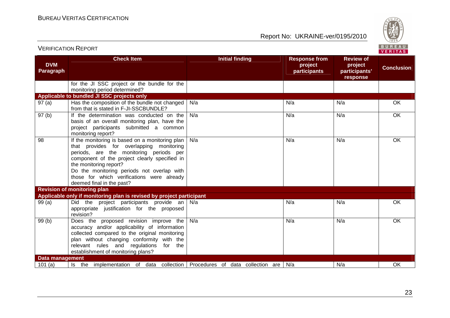VERIFICATION REPORT

Report No: UKRAINE-ver/0195/2010



| <b>DVM</b><br>Paragraph | <b>Check Item</b>                                                                                                                                                                                                                                                                                                                            | <b>Initial finding</b> | <b>Response from</b><br>project<br>participants | <b>Review of</b><br>project<br>participants'<br>response | <b>Conclusion</b> |
|-------------------------|----------------------------------------------------------------------------------------------------------------------------------------------------------------------------------------------------------------------------------------------------------------------------------------------------------------------------------------------|------------------------|-------------------------------------------------|----------------------------------------------------------|-------------------|
|                         | for the JI SSC project or the bundle for the<br>monitoring period determined?                                                                                                                                                                                                                                                                |                        |                                                 |                                                          |                   |
|                         | Applicable to bundled JI SSC projects only                                                                                                                                                                                                                                                                                                   |                        |                                                 |                                                          |                   |
| 97(a)                   | Has the composition of the bundle not changed<br>from that is stated in F-JI-SSCBUNDLE?                                                                                                                                                                                                                                                      | N/a                    | N/a                                             | N/a                                                      | OK                |
| 97 <sub>(b)</sub>       | If the determination was conducted on the<br>basis of an overall monitoring plan, have the<br>project participants submitted a common<br>monitoring report?                                                                                                                                                                                  | N/a                    | N/a                                             | N/a                                                      | $\overline{OK}$   |
| 98                      | If the monitoring is based on a monitoring plan  <br>that provides for overlapping monitoring<br>periods, are the monitoring periods per<br>component of the project clearly specified in<br>the monitoring report?<br>Do the monitoring periods not overlap with<br>those for which verifications were already<br>deemed final in the past? | N/a                    | N/a                                             | N/a                                                      | OK                |
|                         | <b>Revision of monitoring plan</b>                                                                                                                                                                                                                                                                                                           |                        |                                                 |                                                          |                   |
|                         | Applicable only if monitoring plan is revised by project participant                                                                                                                                                                                                                                                                         |                        |                                                 |                                                          |                   |
| 99(a)                   | Did the project participants provide an N/a<br>appropriate justification for the proposed<br>revision?                                                                                                                                                                                                                                       |                        | N/a                                             | N/a                                                      | OK                |
| 99(b)                   | Does the proposed revision improve the<br>accuracy and/or applicability of information<br>collected compared to the original monitoring<br>plan without changing conformity with the<br>relevant rules and regulations for the<br>establishment of monitoring plans?                                                                         | N/a                    | N/a                                             | N/a                                                      | <b>OK</b>         |
| <b>Data management</b>  |                                                                                                                                                                                                                                                                                                                                              |                        |                                                 |                                                          |                   |
| 101(a)                  | Is the implementation of data collection Procedures of data collection are $N/a$                                                                                                                                                                                                                                                             |                        |                                                 | N/a                                                      | OK                |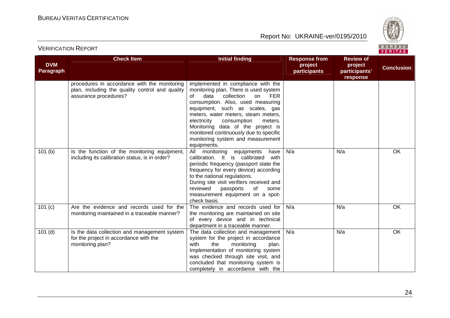

#### **DVM Paragraph Check Item Check Item Initial finding Response from Response from project participants Review of project participants' responseConclusion** procedures in accordance with the monitoring plan, including the quality control and quality assurance procedures? implemented in compliance with the monitoring plan. There is used system  $FER$ of data collection on consumption. Also, used measuring equipment, such as scales, gas meters, water meters, steam meters, meters. electricity consumption Monitoring data of the project is monitored continuously due to specific monitoring system and measurement equipments. All monitoring equipments have 101 (b)  $\vert$  Is the function of the monitoring equipment, including its calibration status, is in order? calibration. It is calibrated with periodic frequency (passport state the frequency for every device) according to the national regulations. During site visit verifiers received and some reviewed passports of measurement equipment on a spotcheck basis. The evidence and records used for N/aa | N/a | OK 101 (c) Are the evidence and records used for the monitoring maintained in a traceable manner? the monitoring are maintained on site of every device and in technical department in a traceable manner. The data collection and management N/aa | N/a | OK 101 (d)  $\vert$  Is the data collection and management system for the project in accordance with the monitoring plan? system for the project in accordance with the monitoring plan. Implementation of monitoring system was checked through site visit, and concluded that monitoring system is completely in accordance with the N/aa | N/a | OK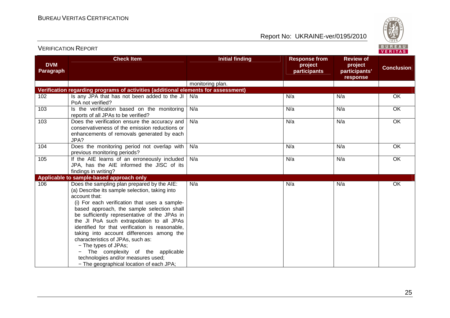

| BUREAU<br><b>VERIFICATION REPORT</b><br>VERITAS |                                                                                                                                                                                                                                                                                                                                                                                                                                                                                                                                                                                                |                        |                                                 |                                                          |                   |  |  |
|-------------------------------------------------|------------------------------------------------------------------------------------------------------------------------------------------------------------------------------------------------------------------------------------------------------------------------------------------------------------------------------------------------------------------------------------------------------------------------------------------------------------------------------------------------------------------------------------------------------------------------------------------------|------------------------|-------------------------------------------------|----------------------------------------------------------|-------------------|--|--|
| <b>DVM</b><br>Paragraph                         | <b>Check Item</b>                                                                                                                                                                                                                                                                                                                                                                                                                                                                                                                                                                              | <b>Initial finding</b> | <b>Response from</b><br>project<br>participants | <b>Review of</b><br>project<br>participants'<br>response | <b>Conclusion</b> |  |  |
|                                                 |                                                                                                                                                                                                                                                                                                                                                                                                                                                                                                                                                                                                | monitoring plan.       |                                                 |                                                          |                   |  |  |
|                                                 | Verification regarding programs of activities (additional elements for assessment)                                                                                                                                                                                                                                                                                                                                                                                                                                                                                                             |                        |                                                 |                                                          |                   |  |  |
| 102                                             | Is any JPA that has not been added to the JI<br>PoA not verified?                                                                                                                                                                                                                                                                                                                                                                                                                                                                                                                              | N/a                    | N/a                                             | N/a                                                      | OK                |  |  |
| 103                                             | Is the verification based on the monitoring<br>reports of all JPAs to be verified?                                                                                                                                                                                                                                                                                                                                                                                                                                                                                                             | N/a                    | N/a                                             | N/a                                                      | OK                |  |  |
| 103                                             | Does the verification ensure the accuracy and<br>conservativeness of the emission reductions or<br>enhancements of removals generated by each<br>JPA?                                                                                                                                                                                                                                                                                                                                                                                                                                          | N/a                    | N/a                                             | N/a                                                      | $\overline{OK}$   |  |  |
| 104                                             | Does the monitoring period not overlap with<br>previous monitoring periods?                                                                                                                                                                                                                                                                                                                                                                                                                                                                                                                    | N/a                    | N/a                                             | N/a                                                      | OK                |  |  |
| 105                                             | If the AIE learns of an erroneously included<br>JPA, has the AIE informed the JISC of its<br>findings in writing?                                                                                                                                                                                                                                                                                                                                                                                                                                                                              | N/a                    | N/a                                             | N/a                                                      | OK                |  |  |
|                                                 | Applicable to sample-based approach only                                                                                                                                                                                                                                                                                                                                                                                                                                                                                                                                                       |                        |                                                 |                                                          |                   |  |  |
| 106                                             | Does the sampling plan prepared by the AIE:<br>(a) Describe its sample selection, taking into<br>account that:<br>(i) For each verification that uses a sample-<br>based approach, the sample selection shall<br>be sufficiently representative of the JPAs in<br>the JI PoA such extrapolation to all JPAs<br>identified for that verification is reasonable,<br>taking into account differences among the<br>characteristics of JPAs, such as:<br>- The types of JPAs;<br>The complexity of the applicable<br>technologies and/or measures used;<br>- The geographical location of each JPA; | N/a                    | N/a                                             | N/a                                                      | OK                |  |  |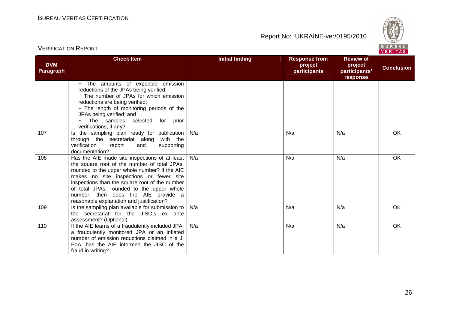

#### **DVM Paragraph Check Item Check Item Initial finding Response from Response from project participants Review of project participants' responseConclusion** − The amounts of expected emission reductions of the JPAs being verified; − The number of JPAs for which emission reductions are being verified; − The length of monitoring periods of the JPAs being verified; and − The samples selected for prior verifications, if any? 107 | Is the sampling plan ready for publication through the secretariat along with the verification report and supporting documentation? 108 | Has the AIE made site inspections of at least | N/a N/aa a N/a N/a N/a N/a OK the square root of the number of total JPAs, rounded to the upper whole number? If the AIE makes no site inspections or fewer site inspections than the square root of the number of total JPAs, rounded to the upper whole number, then does the AIE provide a reasonable explanation and justification? 109 | Is the sampling plan available for submission to a a N/a N/a N/a N/a OK the secretariat for the JISC.s ex ante assessment? (Optional) 110 | If the AIE learns of a fraudulently included JPA, N/aa a N/a N/a N/a N/a OK a fraudulently monitored JPA or an inflated number of emission reductions claimed in a JI PoA, has the AIE informed the JISC of the fraud in writing? N/aa a N/a N/a N/a N/a OK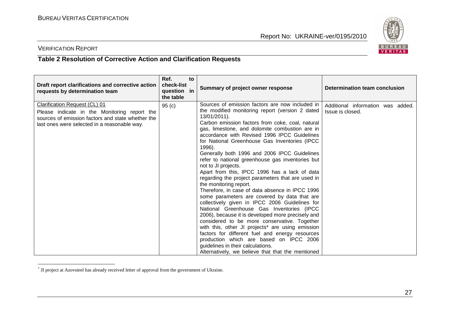

## VERIFICATION REPORT

### **Table 2 Resolution of Corrective Action and Clarification Requests**

| Draft report clarifications and corrective action<br>requests by determination team                                                                                                       | Ref.<br>to<br>check-list<br>question in<br>the table | Summary of project owner response                                                                                                                                                                                                                                                                                                                                                                                                                                                                                                                                                                                                                                                                                                                                                                                                                                                                                                                                                                                                                                                                                                                 | Determination team conclusion                         |
|-------------------------------------------------------------------------------------------------------------------------------------------------------------------------------------------|------------------------------------------------------|---------------------------------------------------------------------------------------------------------------------------------------------------------------------------------------------------------------------------------------------------------------------------------------------------------------------------------------------------------------------------------------------------------------------------------------------------------------------------------------------------------------------------------------------------------------------------------------------------------------------------------------------------------------------------------------------------------------------------------------------------------------------------------------------------------------------------------------------------------------------------------------------------------------------------------------------------------------------------------------------------------------------------------------------------------------------------------------------------------------------------------------------------|-------------------------------------------------------|
| <b>Clarification Request (CL) 01</b><br>Please indicate in the Monitoring report the<br>sources of emission factors and state whether the<br>last ones were selected in a reasonable way. | 95 <sub>(c)</sub>                                    | Sources of emission factors are now included in<br>the modified monitoring report (version 2 dated<br>13/01/2011).<br>Carbon emission factors from coke, coal, natural<br>gas, limestone, and dolomite combustion are in<br>accordance with Revised 1996 IPCC Guidelines<br>for National Greenhouse Gas Inventories (IPCC<br>1996).<br>Generally both 1996 and 2006 IPCC Guidelines<br>refer to national greenhouse gas inventories but<br>not to JI projects.<br>Apart from this, IPCC 1996 has a lack of data<br>regarding the project parameters that are used in<br>the monitoring report.<br>Therefore, in case of data absence in IPCC 1996<br>some parameters are covered by data that are<br>collectively given in IPCC 2006 Guidelines for<br>National Greenhouse Gas Inventories (IPCC<br>2006), because it is developed more precisely and<br>considered to be more conservative. Together<br>with this, other JI projects* are using emission<br>factors for different fuel and energy resources<br>production which are based on IPCC 2006<br>guidelines in their calculations.<br>Alternatively, we believe that that the mentioned | Additional information was added.<br>Issue is closed. |

<sup>\*</sup> JI project at Azovsteel has already received letter of approval from the government of Ukraine.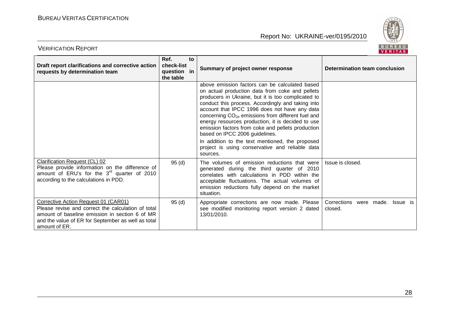

| Draft report clarifications and corrective action<br>requests by determination team                                                                                                                                 | Ref.<br>to<br>check-list<br>question in<br>the table | Summary of project owner response                                                                                                                                                                                                                                                                                                                                                                                                                                                                                                                                                            | Determination team conclusion              |
|---------------------------------------------------------------------------------------------------------------------------------------------------------------------------------------------------------------------|------------------------------------------------------|----------------------------------------------------------------------------------------------------------------------------------------------------------------------------------------------------------------------------------------------------------------------------------------------------------------------------------------------------------------------------------------------------------------------------------------------------------------------------------------------------------------------------------------------------------------------------------------------|--------------------------------------------|
|                                                                                                                                                                                                                     |                                                      | above emission factors can be calculated based<br>on actual production data from coke and pellets<br>producers in Ukraine, but it is too complicated to<br>conduct this process. Accordingly and taking into<br>account that IPCC 1996 does not have any data<br>concerning CO <sub>2e</sub> emissions from different fuel and<br>energy resources production, it is decided to use<br>emission factors from coke and pellets production<br>based on IPCC 2006 guidelines.<br>In addition to the text mentioned, the proposed<br>project is using conservative and reliable data<br>sources. |                                            |
| <b>Clarification Request (CL) 02</b><br>Please provide information on the difference of<br>amount of ERU's for the $3rd$ quarter of 2010<br>according to the calculations in PDD.                                   | 95(d)                                                | The volumes of emission reductions that were<br>generated during the third quarter of 2010<br>correlates with calculations in PDD within the<br>acceptable fluctuations. The actual volumes of<br>emission reductions fully depend on the market<br>situation.                                                                                                                                                                                                                                                                                                                               | Issue is closed.                           |
| Corrective Action Request 01 (CAR01)<br>Please revise and correct the calculation of total<br>amount of baseline emission in section 6 of MR<br>and the value of ER for September as well as total<br>amount of ER. | 95(d)                                                | Appropriate corrections are now made. Please<br>see modified monitoring report version 2 dated<br>13/01/2010.                                                                                                                                                                                                                                                                                                                                                                                                                                                                                | Corrections were made. Issue is<br>closed. |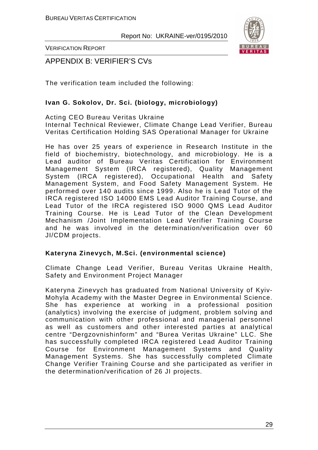

VERIFICATION REPORT

APPENDIX B: VERIFIER'S CVs

The verification team included the following:

## **Ivan G. Sokolov, Dr. Sci. (biology, microbiology)**

Acting CEO Bureau Veritas Ukraine Internal Technical Reviewer, Climate Change Lead Verifier, Bureau Veritas Certification Holding SAS Operational Manager for Ukraine

He has over 25 years of experience in Research Institute in the field of biochemistry, biotechnology, and microbiology. He is a Lead auditor of Bureau Veritas Certification for Environment Management System (IRCA registered), Quality Management System (IRCA registered), Occupational Health and Safety Management System, and Food Safety Management System. He performed over 140 audits since 1999. Also he is Lead Tutor of the IRCA registered ISO 14000 EMS Lead Auditor Training Course, and Lead Tutor of the IRCA registered ISO 9000 QMS Lead Auditor Training Course. He is Lead Tutor of the Clean Development Mechanism /Joint Implementation Lead Verifier Training Course and he was involved in the determination/verification over 60 JI/CDM projects.

#### **Kateryna Zinevych, M.Sci. (environmental science)**

Climate Change Lead Verifier, Bureau Veritas Ukraine Health, Safety and Environment Project Manager

Kateryna Zinevych has graduated from National University of Kyiv-Mohyla Academy with the Master Degree in Environmental Science. She has experience at working in a professional position (analytics) involving the exercise of judgment, problem solving and communication with other professional and managerial personnel as well as customers and other interested parties at analytical centre "Dergzovnishinform" and "Burea Veritas Ukraine" LLC. She has successfully completed IRCA registered Lead Auditor Training Course for Environment Management Systems and Quality Management Systems. She has successfully completed Climate Change Verifier Training Course and she participated as verifier in the determination/verification of 26 JI projects.